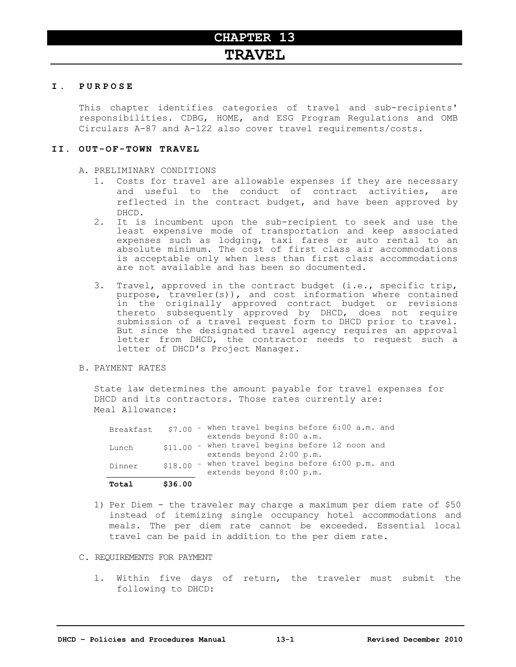## **I . P U R P O S E**

This chapter identifies categories of travel and sub-recipients' responsibilities. CDBG, HOME, and ESG Program Regulations and OMB Circulars A-87 and A-122 also cover travel requirements/costs.

## **I I . O U T - O F - T O W N T R A V E L**

A. PRELIMINARY CONDITIONS

- 1. Costs for travel are allowable expenses if they are necessary and useful to the conduct of contract activities, are reflected in the contract budget, and have been approved by DHCD.
- 2. It is incumbent upon the sub-recipient to seek and use the least expensive mode of transportation and keep associated expenses such as lodging, taxi fares or auto rental to an absolute minimum. The cost of first class air accommodations is acceptable only when less than first class accommodations are not available and has been so documented.
- 3. Travel, approved in the contract budget (i.e., specific trip, purpose, traveler(s)), and cost information where contained in the originally approved contract budget or revisions thereto subsequently approved by DHCD, does not require submission of a travel request form to DHCD prior to travel. But since the designated travel agency requires an approval letter from DHCD, the contractor needs to request such a letter of DHCD's Project Manager.
- B. PAYMENT RATES

State law determines the amount payable for travel expenses for DHCD and its contractors. Those rates currently are: Meal Allowance:

| Total     | \$36.00 |                                                 |
|-----------|---------|-------------------------------------------------|
|           |         | extends beyond 8:00 p.m.                        |
| Dinner    | \$18.00 | - when travel begins before 6:00 p.m. and       |
|           |         | extends beyond 2:00 p.m.                        |
| Lunch     |         | \$11.00 - when travel begins before 12 noon and |
|           |         | extends beyond 8:00 a.m.                        |
| Breakfast | \$7.00  | - when travel begins before 6:00 a.m. and       |

- 1) Per Diem the traveler may charge a maximum per diem rate of \$50 instead of itemizing single occupancy hotel accommodations and meals. The per diem rate cannot be exceeded. Essential local travel can be paid in addition to the per diem rate.
- C. REQUIREMENTS FOR PAYMENT
	- l. Within five days of return, the traveler must submit the following to DHCD: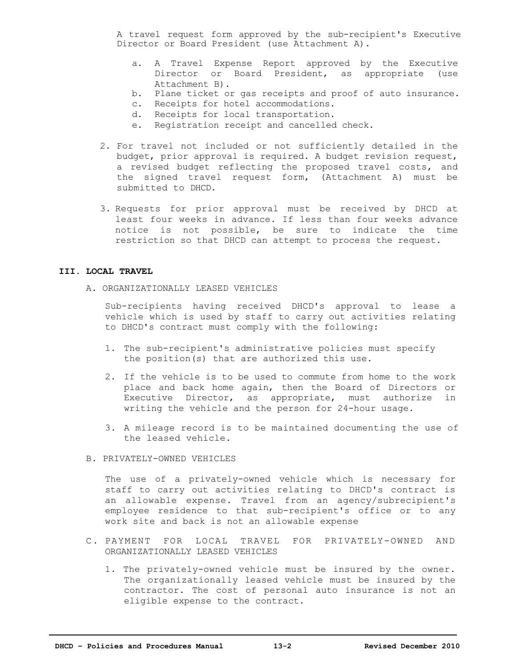A travel request form approved by the sub-recipient's Executive Director or Board President (use Attachment A).

- a. A Travel Expense Report approved by the Executive Director or Board President, as appropriate (use Attachment B).
- b. Plane ticket or gas receipts and proof of auto insurance.
- c. Receipts for hotel accommodations.
- d. Receipts for local transportation.
- e. Registration receipt and cancelled check.
- 2. For travel not included or not sufficiently detailed in the budget, prior approval is required. A budget revision request, a revised budget reflecting the proposed travel costs, and the signed travel request form, (Attachment A) must be submitted to DHCD.
- 3. Requests for prior approval must be received by DHCD at least four weeks in advance. If less than four weeks advance notice is not possible, be sure to indicate the time restriction so that DHCD can attempt to process the request.

## **III. LOCAL TRAVEL**

A. ORGANIZATIONALLY LEASED VEHICLES

Sub-recipients having received DHCD's approval to lease a vehicle which is used by staff to carry out activities relating to DHCD's contract must comply with the following:

- 1. The sub-recipient's administrative policies must specify the position(s) that are authorized this use.
- 2. If the vehicle is to be used to commute from home to the work place and back home again, then the Board of Directors or Executive Director, as appropriate, must authorize in writing the vehicle and the person for 24-hour usage.
- 3. A mileage record is to be maintained documenting the use of the leased vehicle.
- B. PRIVATELY-OWNED VEHICLES

 The use of a privately-owned vehicle which is necessary for staff to carry out activities relating to DHCD's contract is an allowable expense. Travel from an agency/subrecipient's employee residence to that sub-recipient's office or to any work site and back is not an allowable expense

- C. PAYMENT FOR LOCAL TRAVEL FOR PRIVATELY-OWNED AND ORGANIZATIONALLY LEASED VEHICLES
	- 1. The privately-owned vehicle must be insured by the owner. The organizationally leased vehicle must be insured by the contractor. The cost of personal auto insurance is not an eligible expense to the contract.